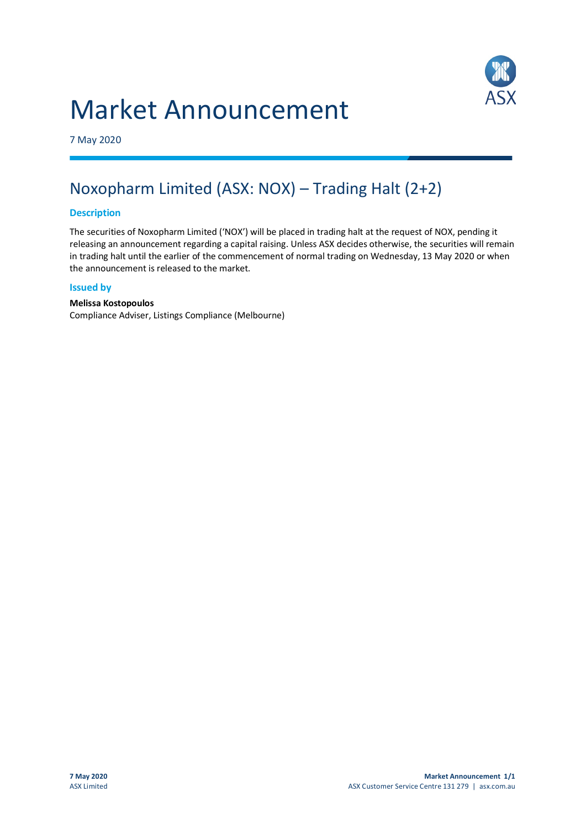# Market Announcement



7 May 2020

## Noxopharm Limited (ASX: NOX) – Trading Halt (2+2)

#### **Description**

The securities of Noxopharm Limited ('NOX') will be placed in trading halt at the request of NOX, pending it releasing an announcement regarding a capital raising. Unless ASX decides otherwise, the securities will remain in trading halt until the earlier of the commencement of normal trading on Wednesday, 13 May 2020 or when the announcement is released to the market.

#### **Issued by**

#### **Melissa Kostopoulos**

Compliance Adviser, Listings Compliance (Melbourne)